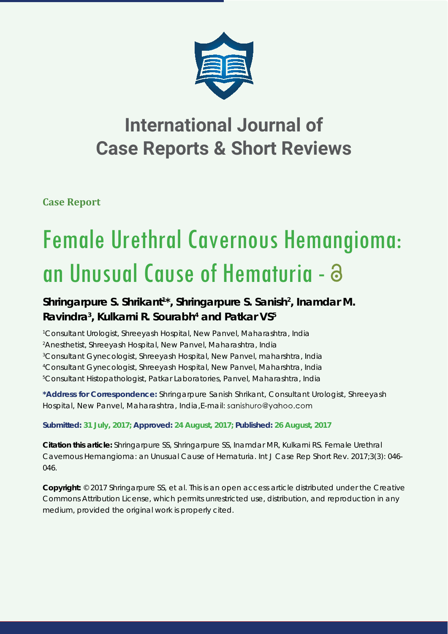

## **International Journal of Case Reports & Short Reviews**

**Case Report**

# Female Urethral Cavernous Hemangioma: an Unusual Cause of Hematuria -

### Shringarpure S. Shrikant<sup>1\*</sup>, Shringarpure S. Sanish<sup>2</sup>, Inamdar M. **Ravindra3 , Kulkarni R. Sourabh4 and Patkar VS5**

 *Consultant Urologist, Shreeyash Hospital, New Panvel, Maharashtra, India Anesthetist, Shreeyash Hospital, New Panvel, Maharashtra, India Consultant Gynecologist, Shreeyash Hospital, New Panvel, maharshtra, India Consultant Gynecologist, Shreeyash Hospital, New Panvel, Maharshtra, India Consultant Histopathologist, Patkar Laboratories, Panvel, Maharashtra, India* 

**\*Address for Correspondence:** Shringarpure Sanish Shrikant, Consultant Urologist, Shreeyash Hospital, New Panvel, Maharashtra, India, E-mail: sanishuro@yahoo.com

**Submitted: 31 July, 2017; Approved: 24 August, 2017; Published: 26 August, 2017**

**Citation this article:** Shringarpure SS, Shringarpure SS, Inamdar MR, Kulkarni RS. Female Urethral Cavernous Hemangioma: an Unusual Cause of Hematuria. Int J Case Rep Short Rev. 2017;3(3): 046- 046.

**Copyright:** © 2017 Shringarpure SS, et al. This is an open access article distributed under the Creative Commons Attribution License, which permits unrestricted use, distribution, and reproduction in any medium, provided the original work is properly cited.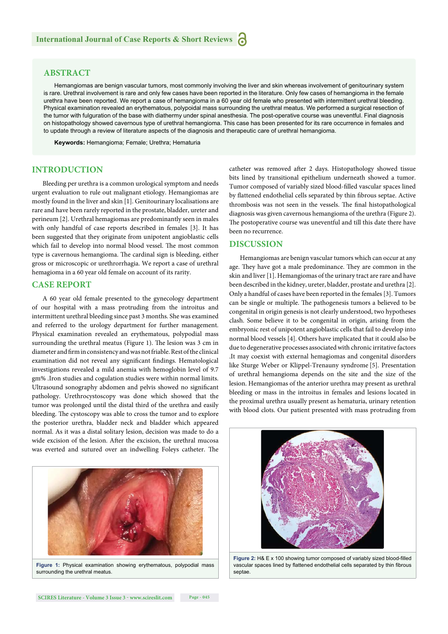#### **ABSTRACT**

Hemangiomas are benign vascular tumors, most commonly involving the liver and skin whereas involvement of genitourinary system is rare. Urethral involvement is rare and only few cases have been reported in the literature. Only few cases of hemangioma in the female urethra have been reported. We report a case of hemangioma in a 60 year old female who presented with intermittent urethral bleeding. Physical examination revealed an erythematous, polypoidal mass surrounding the urethral meatus. We performed a surgical resection of the tumor with fulguration of the base with diathermy under spinal anesthesia. The post-operative course was uneventful. Final diagnosis on histopathology showed cavernous type of urethral hemangioma. This case has been presented for its rare occurrence in females and to update through a review of literature aspects of the diagnosis and therapeutic care of urethral hemangioma.

**Keywords:** Hemangioma; Female; Urethra; Hematuria

#### **INTRODUCTION**

Bleeding per urethra is a common urological symptom and needs urgent evaluation to rule out malignant etiology. Hemangiomas are mostly found in the liver and skin [1]. Genitourinary localisations are rare and have been rarely reported in the prostate, bladder, ureter and perineum [2]. Urethral hemagiomas are predominantly seen in males with only handful of case reports described in females [3]. It has been suggested that they originate from unipotent angioblastic cells which fail to develop into normal blood vessel. The most common type is cavernous hemangioma. The cardinal sign is bleeding, either gross or microscopic or urethrorrhagia. We report a case of urethral hemagioma in a 60 year old female on account of its rarity.

#### **CASE REPORT**

A 60 year old female presented to the gynecology department of our hospital with a mass protruding from the introitus and intermittent urethral bleeding since past 3 months. She was examined and referred to the urology department for further management. Physical examination revealed an erythematous, polypodial mass surrounding the urethral meatus (Figure 1). The lesion was 3 cm in diameter and firm in consistency and was not friable. Rest of the clinical examination did not reveal any significant findings. Hematological investigations revealed a mild anemia with hemoglobin level of 9.7 gm% .Iron studies and cogulation studies were within normal limits. Ultrasound sonography abdomen and pelvis showed no significant pathology. Urethrocystoscopy was done which showed that the tumor was prolonged until the distal third of the urethra and easily bleeding. The cystoscopy was able to cross the tumor and to explore the posterior urethra, bladder neck and bladder which appeared normal. As it was a distal solitary lesion, decision was made to do a wide excision of the lesion. After the excision, the urethral mucosa was everted and sutured over an indwelling Foleys catheter. The



**Figure 1:** Physical examination showing erythematous, polypodial mass surrounding the urethral meatus.

catheter was removed after 2 days. Histopathology showed tissue bits lined by transitional epithelium underneath showed a tumor. Tumor composed of variably sized blood-filled vascular spaces lined by flattened endothelial cells separated by thin fibrous septae. Active thrombosis was not seen in the vessels. The final histopathological diagnosis was given cavernous hemangioma of the urethra (Figure 2). The postoperative course was uneventful and till this date there have been no recurrence.

#### **DISCUSSION**

Hemangiomas are benign vascular tumors which can occur at any age. They have got a male predominance. They are common in the skin and liver [1]. Hemangiomas of the urinary tract are rare and have been described in the kidney, ureter, bladder, prostate and urethra [2]. Only a handful of cases have been reported in the females [3]. Tumors can be single or multiple. The pathogenesis tumors a believed to be congenital in origin genesis is not clearly understood, two hypotheses clash. Some believe it to be congenital in origin, arising from the embryonic rest of unipotent angioblastic cells that fail to develop into normal blood vessels [4]. Others have implicated that it could also be due to degenerative processes associated with chronic irritative factors .It may coexist with external hemagiomas and congenital disorders like Sturge Weber or Klippel-Trenauny syndrome [5]. Presentation of urethral hemangioma depends on the site and the size of the lesion. Hemangiomas of the anterior urethra may present as urethral bleeding or mass in the introitus in females and lesions located in the proximal urethra usually present as hematuria, urinary retention with blood clots. Our patient presented with mass protruding from



**Figure 2: H& E x 100 showing tumor composed of variably sized blood-filled** vascular spaces lined by flattened endothelial cells separated by thin fibrous septae.